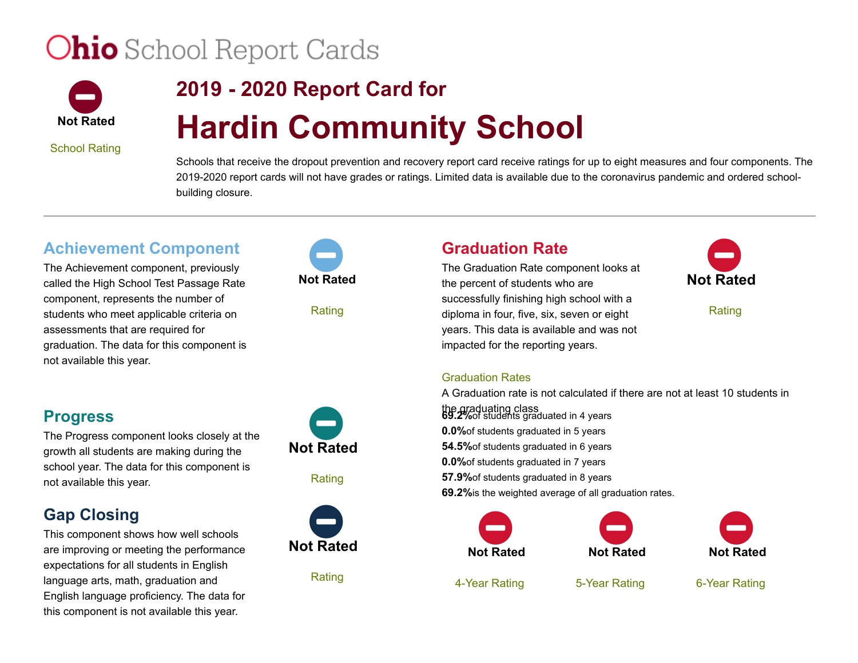# **Ohio** School Report Cards



## **2019 - 2020 Report Card for Hardin Community School**

School Rating

Schools that receive the dropout prevention and recovery report card receive ratings for up to eight measures and four components. The 2019-2020 report cards will not have grades or ratings. Limited data is available due to the coronavirus pandemic and ordered schoolbuilding closure.

#### **Achievement Component**

The Achievement component, previously called the High School Test Passage Rate component, represents the number of students who meet applicable criteria on assessments that are required for graduation. The data for this component is not available this year.

#### **Progress**

The Progress component looks closely at the growth all students are making during the school year. The data for this component is not available this year.

#### **Gap Closing**

This component shows how well schools are improving or meeting the performance expectations for all students in English language arts, math, graduation and English language proficiency. The data for this component is not available this year.



Rating

### **Not Rated**  $\bullet$

Rating



Rating

### **Graduation Rate**

The Graduation Rate component looks at the percent of students who are successfully finishing high school with a diploma in four, five, six, seven or eight years. This data is available and was not impacted for the reporting years.



Rating

#### Graduation Rates

A Graduation rate is not calculated if there are not at least 10 students in the graduating class **69.2%**of students graduated in 4 years **0.0%**of students graduated in 5 years **54.5%**of students graduated in 6 years **0.0%**of students graduated in 7 years **57.9%**of students graduated in 8 years **69.2%**is the weighted average of all graduation rates.



4-Year Rating





5-Year Rating

6-Year Rating